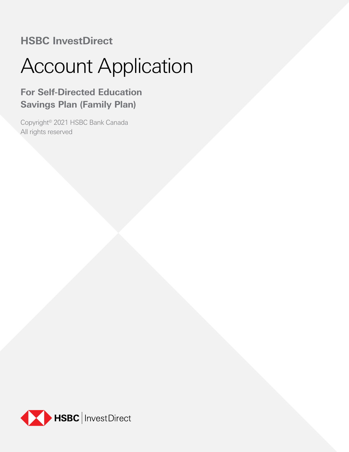# **HSBC InvestDirect**

# Account Application

# **For Self-Directed Education Savings Plan (Family Plan)**

Copyright© 2021 HSBC Bank Canada All rights reserved

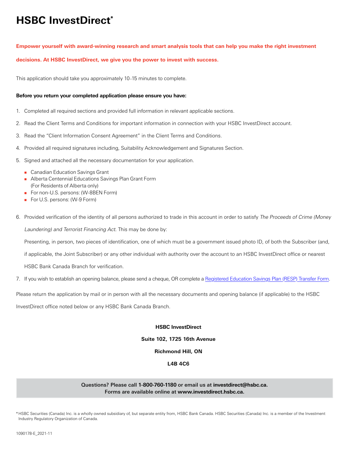# **HSBC InvestDirect\***

## **Empower yourself with award-winning research and smart analysis tools that can help you make the right investment**

**decisions. At HSBC InvestDirect, we give you the power to invest with success.**

This application should take you approximately 10–15 minutes to complete.

### **Before you return your completed application please ensure you have:**

- 1. Completed all required sections and provided full information in relevant applicable sections.
- 2. Read the Client Terms and Conditions for important information in connection with your HSBC InvestDirect account.
- 3. Read the "Client Information Consent Agreement" in the Client Terms and Conditions.
- 4. Provided all required signatures including, Suitability Acknowledgement and Signatures Section.
- 5. Signed and attached all the necessary documentation for your application.
	- **[Canadian Education Savings Grant](http://www.hsbc.ca/1/content/canada2/assets/pdf/investdirect/gov_cesg.pdf)**
	- Alberta Centennial Educations Savings Plan Grant Form [\(For Residents of Alberta only\)](http://www.hsbc.ca/1/content/canada2/assets/pdf/investdirect/ab_cesg.pdf)
	- For non-U.S. persons: ([W-8BEN Form](http://www.hsbc.ca/1/content/canada2/assets/pdf/investdirect/irs_w8ben.pdf))
	- For U.S. persons: [\(W-9 Form\)](http://www.hsbc.ca/1/content/canada2/assets/pdf/investdirect/w9_form.pdf)
- 6. Provided verification of the identity of all persons authorized to trade in this account in order to satisfy The Proceeds of Crime (Money

Laundering) and Terrorist Financing Act. This may be done by:

Presenting, in person, two pieces of identification, one of which must be a government issued photo ID, of both the Subscriber (and,

if applicable, the Joint Subscriber) or any other individual with authority over the account to an HSBC InvestDirect office or nearest

HSBC Bank Canada Branch for verification.

7. If you wish to establish an opening balance, please send a cheque, OR complete a [Registered Education Savings Plan \(RESP\) Transfer Form](https://www.canada.ca/en/services/benefits/education/education-savings/resp-promoters.html).

Please return the application by mail or in person with all the necessary documents and opening balance (if applicable) to the HSBC

InvestDirect office noted below or any HSBC Bank Canada Branch.

### **HSBC InvestDirect**

## **Suite 102, 1725 16th Avenue**

# **Richmond Hill, ON**

# **L4B 4C6**

### Questions? Please call **1-800-760-1180** or email us at **investdirect@hsbc.ca.** Forms are available online at **www.investdirect.hsbc.ca.**

\*HSBC Securities (Canada) Inc. is a wholly owned subsidiary of, but separate entity from, HSBC Bank Canada. HSBC Securities (Canada) Inc. is a member of the Investment Industry Regulatory Organization of Canada.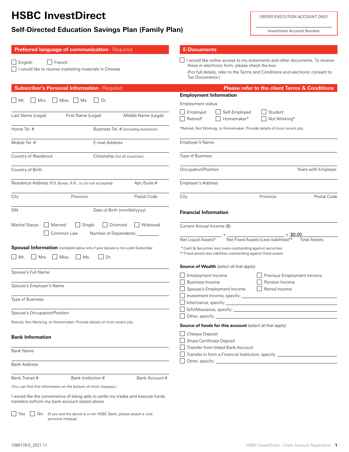# **HSBC InvestDirect**

# **Self-Directed Education Savings Plan (Family Plan)**

Investment Account Number

| Preferred language of communication - Required                                                                                                                                                                                               | <b>E-Documents</b>                                                                                                                                                                                                                                                                  |
|----------------------------------------------------------------------------------------------------------------------------------------------------------------------------------------------------------------------------------------------|-------------------------------------------------------------------------------------------------------------------------------------------------------------------------------------------------------------------------------------------------------------------------------------|
| $\Box$ English<br>$\Box$ French<br>I would like to receive marketing materials in Chinese                                                                                                                                                    | I would like online access to my statements and other documents. To receive<br>these in electronic form, please check the box.<br>(For full details, refer to the Terms and Conditions and electronic consent to<br>Tax Documents.)                                                 |
| <b>Subscriber's Personal Information - Required</b>                                                                                                                                                                                          | <b>Please refer to the client Terms &amp; Conditions</b>                                                                                                                                                                                                                            |
| Mrs.<br>Miss<br>$\vert$ $\vert$ Ms.<br>Dr.<br>l I Mr.                                                                                                                                                                                        | <b>Employment Information</b><br>Employment status:                                                                                                                                                                                                                                 |
| Last Name (Legal)<br>First Name (Legal)<br>Middle Name (Legal)                                                                                                                                                                               | Self-Employed<br>Employed<br>Student<br>Retired*<br>Homemaker*<br>Not Working*                                                                                                                                                                                                      |
| Home Tel. #<br>Business Tel. # (including extension)                                                                                                                                                                                         | *Retired, Not Working, or Homemaker: Provide details of most recent job.                                                                                                                                                                                                            |
| Mobile Tel. #<br>E-mail Address                                                                                                                                                                                                              | Employer's Name                                                                                                                                                                                                                                                                     |
| Country of Residence<br>Citizenship (list all countries)                                                                                                                                                                                     | Type of Business                                                                                                                                                                                                                                                                    |
| Country of Birth                                                                                                                                                                                                                             | Occupation/Position<br>Years with Employer                                                                                                                                                                                                                                          |
| Residence Address (P.O. Boxes, R.R or c/o not accepted)<br>Apt./Suite #                                                                                                                                                                      | Employer's Address                                                                                                                                                                                                                                                                  |
| Province<br>Postal Code<br>City                                                                                                                                                                                                              | City<br>Province<br>Postal Code                                                                                                                                                                                                                                                     |
| <b>SIN</b><br>Date of Birth (mm/dd/yyyy)                                                                                                                                                                                                     | <b>Financial Information</b>                                                                                                                                                                                                                                                        |
| Divorced<br>Marital Status:<br>Married<br>$\Box$<br>Single<br>Common Law<br>Number of Dependents:<br><b>Spousal Information</b> (complete below only if your spouse is not a joint Subscriber<br>  Mrs.     Miss<br>$M$ s.<br>l I Mr.<br>Dr. | l I Widowed<br>Current Annual Income (\$)<br>$=$ \$0.00<br>Net Fixed Assets (Less liabilities)**<br>Net Liquid Assets*<br><b>Total Assets</b><br>* Cash & Securities less loans outstanding against securities<br>** Fixed assets less liabilities outstanding against fixed assets |
|                                                                                                                                                                                                                                              | <b>Source of Wealth</b> (select all that apply)                                                                                                                                                                                                                                     |
| Spouse's Full Name                                                                                                                                                                                                                           | Employment Income<br>Previous Employment Income                                                                                                                                                                                                                                     |
| Spouse's Employer's Name                                                                                                                                                                                                                     | <b>Business Income</b><br>Pension Income<br>Rental Income<br>Spouse's Employment Income                                                                                                                                                                                             |
| Type of Business                                                                                                                                                                                                                             | Investment Income, specify:                                                                                                                                                                                                                                                         |
| Spouse's Occupation/Position                                                                                                                                                                                                                 | Gift/Allowance, specify: We are a series of the series of the series of the series of the series of the series                                                                                                                                                                      |
| Retired, Not Working, or Homemaker: Provide details of most recent job.                                                                                                                                                                      | <b>Source of funds for this account</b> (select all that apply)                                                                                                                                                                                                                     |
| <b>Bank Information</b>                                                                                                                                                                                                                      | Cheque Deposit<br>Share Certificate Deposit                                                                                                                                                                                                                                         |
| <b>Bank Name</b>                                                                                                                                                                                                                             | Transfer from linked Bank Account<br>Transfer in from a Financial Institution, specify: _____________________________                                                                                                                                                               |
| <b>Bank Address</b>                                                                                                                                                                                                                          |                                                                                                                                                                                                                                                                                     |
| Bank Transit #<br>Bank Institution #                                                                                                                                                                                                         | Bank Account #                                                                                                                                                                                                                                                                      |
| (You can find this information on the bottom of most cheques.)                                                                                                                                                                               |                                                                                                                                                                                                                                                                                     |
| I would like the convenience of being able to settle my trades and execute funds<br>transfers to/from my bank account stated above.                                                                                                          |                                                                                                                                                                                                                                                                                     |
| $\Box$ Yes<br>$\Box$ No<br>(If yes and the above is a non HSBC Bank, please attach a void<br>personal cheque)                                                                                                                                |                                                                                                                                                                                                                                                                                     |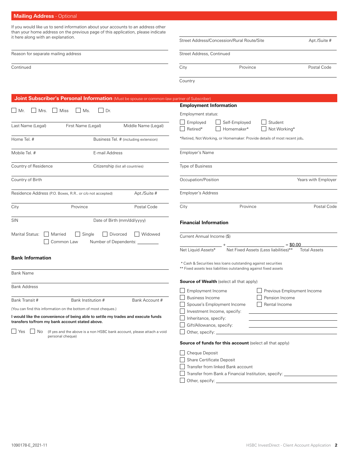# **Mailing Address** - Optional

If you would like us to send information about your accounts to an address other than your home address on the previous page of this application, please indicate it here along with an explanation.

| it nere along with an explanation.                                                                                                                                                                                                                                                                                                                     | Street Address/Concession/Rural Route/Site                                                                                                                                                                                                             | Apt./Suite #        |
|--------------------------------------------------------------------------------------------------------------------------------------------------------------------------------------------------------------------------------------------------------------------------------------------------------------------------------------------------------|--------------------------------------------------------------------------------------------------------------------------------------------------------------------------------------------------------------------------------------------------------|---------------------|
| Reason for separate mailing address                                                                                                                                                                                                                                                                                                                    | Street Address, Continued                                                                                                                                                                                                                              |                     |
| Continued                                                                                                                                                                                                                                                                                                                                              | City<br>Province                                                                                                                                                                                                                                       | Postal Code         |
|                                                                                                                                                                                                                                                                                                                                                        | Country                                                                                                                                                                                                                                                |                     |
| Joint Subscriber's Personal Information (Must be spouse or common-law partner of Subscriber)                                                                                                                                                                                                                                                           |                                                                                                                                                                                                                                                        |                     |
| Mrs.<br>Miss<br>Ms.<br>    Dr.<br>Mr.                                                                                                                                                                                                                                                                                                                  | <b>Employment Information</b><br>Employment status:                                                                                                                                                                                                    |                     |
| First Name (Legal)<br>Last Name (Legal)<br>Middle Name (Legal)                                                                                                                                                                                                                                                                                         | $\Box$ Employed<br>Self-Employed<br>Student<br>$\mathbf{I}$<br>Retired*<br>Homemaker*<br>Not Working*                                                                                                                                                  |                     |
| Home Tel. #<br>Business Tel. # (including extension)                                                                                                                                                                                                                                                                                                   | *Retired, Not Working, or Homemaker: Provide details of most recent job.                                                                                                                                                                               |                     |
| Mobile Tel. #<br>E-mail Address                                                                                                                                                                                                                                                                                                                        | Employer's Name                                                                                                                                                                                                                                        |                     |
| Country of Residence<br>Citizenship (list all countries)                                                                                                                                                                                                                                                                                               | Type of Business                                                                                                                                                                                                                                       |                     |
| Country of Birth                                                                                                                                                                                                                                                                                                                                       | Occupation/Position                                                                                                                                                                                                                                    | Years with Employer |
| Residence Address (P.O. Boxes, R.R or c/o not accepted)<br>Apt./Suite #                                                                                                                                                                                                                                                                                | Employer's Address                                                                                                                                                                                                                                     |                     |
| City<br>Province<br>Postal Code                                                                                                                                                                                                                                                                                                                        | City<br>Province                                                                                                                                                                                                                                       | Postal Code         |
| SIN<br>Date of Birth (mm/dd/yyyy)                                                                                                                                                                                                                                                                                                                      | <b>Financial Information</b>                                                                                                                                                                                                                           |                     |
| Divorced<br>  Widowed<br>Marital Status:<br>Married<br>Single<br>$\blacksquare$<br>Common Law<br>Number of Dependents: __                                                                                                                                                                                                                              | Current Annual Income (\$)<br>$= $0.00$<br>Net Fixed Assets (Less liabilities)**<br>Net Liquid Assets*                                                                                                                                                 | <b>Total Assets</b> |
| <b>Bank Information</b>                                                                                                                                                                                                                                                                                                                                | * Cash & Securities less loans outstanding against securities                                                                                                                                                                                          |                     |
| Bank Name                                                                                                                                                                                                                                                                                                                                              | ** Fixed assets less liabilities outstanding against fixed assets                                                                                                                                                                                      |                     |
| Bank Address                                                                                                                                                                                                                                                                                                                                           | <b>Source of Wealth</b> (select all that apply)<br>Employment Income<br>Previous Employment Income                                                                                                                                                     |                     |
| Bank Transit #<br>Bank Institution #<br>Bank Account #<br>(You can find this information on the bottom of most cheques.)<br>I would like the convenience of being able to settle my trades and execute funds<br>transfers to/from my bank account stated above.<br>Yes<br>No<br>(If yes and the above is a non HSBC bank account, please attach a void | Pension Income<br><b>Business Income</b><br>Rental Income<br>Spouse's Employment Income<br>Investment Income, specify:<br>Inheritance, specify:<br>Gift/Allowance, specify:<br><u> 1980 - Johann Barn, amerikansk politiker (</u><br>Other, specify: _ |                     |
| personal cheque)                                                                                                                                                                                                                                                                                                                                       | <b>Source of funds for this account</b> (select all that apply)                                                                                                                                                                                        |                     |
|                                                                                                                                                                                                                                                                                                                                                        | Cheque Deposit<br>Share Certificate Deposit<br>Transfer from linked Bank account                                                                                                                                                                       |                     |

Transfer from Bank a Financial Institution, specify: \_\_\_\_\_\_\_\_\_\_\_\_\_

Other, specify: \_\_\_\_\_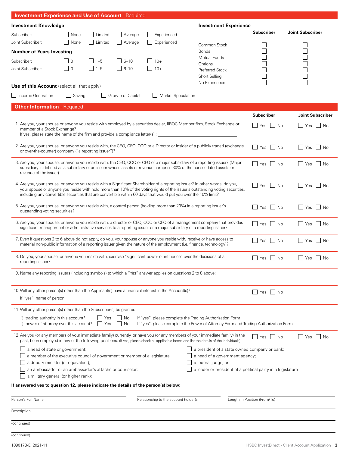| <b>Investment Experience and Use of Account - Required</b>                                                                                             |                   |            |                   |                                                                                                                 |                                                                                                                                                                                                                                                                              |                              |                                           |
|--------------------------------------------------------------------------------------------------------------------------------------------------------|-------------------|------------|-------------------|-----------------------------------------------------------------------------------------------------------------|------------------------------------------------------------------------------------------------------------------------------------------------------------------------------------------------------------------------------------------------------------------------------|------------------------------|-------------------------------------------|
| <b>Investment Knowledge</b>                                                                                                                            |                   |            |                   |                                                                                                                 | <b>Investment Experience</b>                                                                                                                                                                                                                                                 |                              |                                           |
| Subscriber:                                                                                                                                            | None              | Limited    | Average           | Experienced                                                                                                     |                                                                                                                                                                                                                                                                              | <b>Subscriber</b>            | <b>Joint Subscriber</b>                   |
| Joint Subscriber:                                                                                                                                      | None              | Limited    | Average           | Experienced                                                                                                     | Common Stock                                                                                                                                                                                                                                                                 |                              |                                           |
| <b>Number of Years Investing</b>                                                                                                                       |                   |            |                   |                                                                                                                 | <b>Bonds</b><br><b>Mutual Funds</b>                                                                                                                                                                                                                                          |                              |                                           |
| Subscriber:                                                                                                                                            | 0                 | $ $ 1-5    | $6 - 10$          | $10+$                                                                                                           | Options                                                                                                                                                                                                                                                                      |                              |                                           |
| Joint Subscriber:                                                                                                                                      | $\vert$ $\vert$ 0 | $\Box$ 1-5 | $  6 - 10$        | $10+$                                                                                                           | <b>Preferred Stock</b><br>Short Selling                                                                                                                                                                                                                                      |                              |                                           |
|                                                                                                                                                        |                   |            |                   |                                                                                                                 | No Experience                                                                                                                                                                                                                                                                |                              |                                           |
| Use of this Account (select all that apply)                                                                                                            |                   |            |                   |                                                                                                                 |                                                                                                                                                                                                                                                                              |                              |                                           |
| Income Generation                                                                                                                                      | $\Box$ Saving     |            | Growth of Capital | Market Speculation                                                                                              |                                                                                                                                                                                                                                                                              |                              |                                           |
| <b>Other Information - Required</b>                                                                                                                    |                   |            |                   |                                                                                                                 |                                                                                                                                                                                                                                                                              |                              |                                           |
|                                                                                                                                                        |                   |            |                   |                                                                                                                 |                                                                                                                                                                                                                                                                              | <b>Subscriber</b>            | <b>Joint Subscriber</b>                   |
| member of a Stock Exchange?                                                                                                                            |                   |            |                   |                                                                                                                 | 1. Are you, your spouse or anyone you reside with employed by a securities dealer, IIROC Member firm, Stock Exchange or                                                                                                                                                      | No<br>    Yes                | <b>Yes</b><br>I I No                      |
|                                                                                                                                                        |                   |            |                   |                                                                                                                 | If yes, please state the name of the firm and provide a compliance letter(s) : _______________________________                                                                                                                                                               |                              |                                           |
|                                                                                                                                                        |                   |            |                   |                                                                                                                 | 2. Are you, your spouse, or anyone you reside with, the CEO, CFO, COO or a Director or insider of a publicly traded (exchange                                                                                                                                                | $\Box$ Yes $\Box$ No         | Yes<br>$\vert$ $\vert$ No                 |
| or over-the-counter) company ("a reporting issuer")?                                                                                                   |                   |            |                   |                                                                                                                 |                                                                                                                                                                                                                                                                              |                              |                                           |
|                                                                                                                                                        |                   |            |                   |                                                                                                                 | 3. Are you, your spouse, or anyone you reside with, the CEO, COO or CFO of a major subsidiary of a reporting issuer? (Major                                                                                                                                                  | $\Box$ Yes $\Box$ No         | $\Box$ Yes $\Box$ No                      |
| revenue of the issuer)                                                                                                                                 |                   |            |                   |                                                                                                                 | subsidiary is defined as a subsidiary of an issuer whose assets or revenue comprise 30% of the consolidated assets or                                                                                                                                                        |                              |                                           |
|                                                                                                                                                        |                   |            |                   |                                                                                                                 | 4. Are you, your spouse, or anyone you reside with a Significant Shareholder of a reporting issuer? In other words, do you,                                                                                                                                                  |                              |                                           |
|                                                                                                                                                        |                   |            |                   |                                                                                                                 | your spouse or anyone you reside with hold more than 10% of the voting rights of the issuer's outstanding voting securities,                                                                                                                                                 | Yes   No                     | $\vert$ Yes $\vert$ No                    |
|                                                                                                                                                        |                   |            |                   | including any convertible securities that are convertible within 60 days that would put you over the 10% limit? |                                                                                                                                                                                                                                                                              |                              |                                           |
| 5. Are you, your spouse, or anyone you reside with, a control person (holding more than 20%) in a reporting issuer's<br>outstanding voting securities? |                   |            |                   |                                                                                                                 |                                                                                                                                                                                                                                                                              | Yes<br>$\blacksquare$ No     | $\Box$ Yes<br>$\Box$ No                   |
|                                                                                                                                                        |                   |            |                   |                                                                                                                 |                                                                                                                                                                                                                                                                              |                              |                                           |
|                                                                                                                                                        |                   |            |                   |                                                                                                                 | 6. Are you, your spouse, or anyone you reside with, a director or CEO, COO or CFO of a management company that provides<br>significant management or administrative services to a reporting issuer or a major subsidiary of a reporting issuer?                              | l I Yes<br>$\vert$ No        | $\Box$ Yes<br>$\overline{\phantom{a}}$ No |
|                                                                                                                                                        |                   |            |                   |                                                                                                                 | 7. Even if questions 2 to 6 above do not apply, do you, your spouse or anyone you reside with, receive or have access to                                                                                                                                                     |                              |                                           |
|                                                                                                                                                        |                   |            |                   |                                                                                                                 | material non-public information of a reporting issuer given the nature of the employment (i.e. finance, technology)?                                                                                                                                                         | $\Box$ Yes $\Box$ No         | $\Box$ Yes $\Box$ No                      |
| 8. Do you, your spouse, or anyone you reside with, exercise "significant power or influence" over the decisions of a                                   |                   |            |                   |                                                                                                                 |                                                                                                                                                                                                                                                                              |                              |                                           |
| reporting issuer?                                                                                                                                      |                   |            |                   |                                                                                                                 |                                                                                                                                                                                                                                                                              | l I Yes<br>l No              | l Yes<br>No                               |
| 9. Name any reporting issuers (including symbols) to which a "Yes" answer applies on questions 2 to 8 above:                                           |                   |            |                   |                                                                                                                 |                                                                                                                                                                                                                                                                              |                              |                                           |
|                                                                                                                                                        |                   |            |                   |                                                                                                                 |                                                                                                                                                                                                                                                                              |                              |                                           |
| 10. Will any other person(s) other than the Applicant(s) have a financial interest in the Account(s)?                                                  |                   |            |                   |                                                                                                                 |                                                                                                                                                                                                                                                                              | $\Box$ Yes $\Box$ No         |                                           |
| If "yes", name of person:                                                                                                                              |                   |            |                   |                                                                                                                 |                                                                                                                                                                                                                                                                              |                              |                                           |
| 11. Will any other person(s) other than the Subscriber(s) be granted:                                                                                  |                   |            |                   |                                                                                                                 |                                                                                                                                                                                                                                                                              |                              |                                           |
| i) trading authority in this account?                                                                                                                  |                   | Yes        | No                |                                                                                                                 | If "yes", please complete the Trading Authorization Form                                                                                                                                                                                                                     |                              |                                           |
| ii) power of attorney over this account?                                                                                                               |                   | Yes        | <b>No</b>         |                                                                                                                 | If "yes", please complete the Power of Attorney Form and Trading Authorization Form                                                                                                                                                                                          |                              |                                           |
|                                                                                                                                                        |                   |            |                   |                                                                                                                 | 12. Are you (or any members of your immediate family) currently, or have you (or any members of your immediate family) in the<br>past, been employed in any of the following positions: (If yes, please check all applicable boxes and list the details of the individuals): | Yes<br>l No                  | – I No<br>Yes                             |
| a head of state or government;                                                                                                                         |                   |            |                   |                                                                                                                 | a president of a state owned company or bank;                                                                                                                                                                                                                                |                              |                                           |
| a member of the executive council of government or member of a legislature;                                                                            |                   |            |                   |                                                                                                                 | a head of a government agency;                                                                                                                                                                                                                                               |                              |                                           |
| a deputy minister (or equivalent);<br>an ambassador or an ambassador's attaché or counselor;                                                           |                   |            |                   |                                                                                                                 | a federal judge; or<br>a leader or president of a political party in a legislature                                                                                                                                                                                           |                              |                                           |
| a military general (or higher rank);                                                                                                                   |                   |            |                   |                                                                                                                 |                                                                                                                                                                                                                                                                              |                              |                                           |
| If answered yes to question 12, please indicate the details of the person(s) below:                                                                    |                   |            |                   |                                                                                                                 |                                                                                                                                                                                                                                                                              |                              |                                           |
| Person's Full Name                                                                                                                                     |                   |            |                   | Relationship to the account holder(s)                                                                           |                                                                                                                                                                                                                                                                              | Length in Position (From/To) |                                           |
| Description                                                                                                                                            |                   |            |                   |                                                                                                                 |                                                                                                                                                                                                                                                                              |                              |                                           |
|                                                                                                                                                        |                   |            |                   |                                                                                                                 |                                                                                                                                                                                                                                                                              |                              |                                           |
| (continued)                                                                                                                                            |                   |            |                   |                                                                                                                 |                                                                                                                                                                                                                                                                              |                              |                                           |
| (continued)                                                                                                                                            |                   |            |                   |                                                                                                                 |                                                                                                                                                                                                                                                                              |                              |                                           |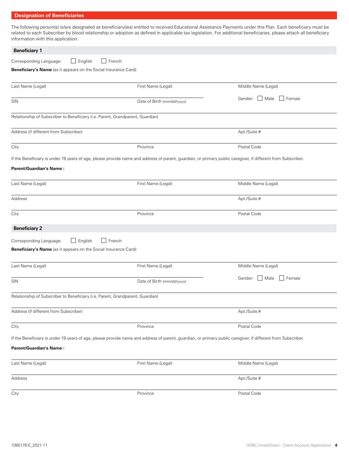# **Designation of Beneficiaries**

The following person(s) is/are designated as beneficiary(ies) entitled to received Educational Assistance Payments under this Plan. Each beneficiary must be related to each Subscriber by blood relationship or adoption as defined in applicable tax legislation. For additional beneficiaries, please attach all beneficiary information with this application.

| <b>Beneficiary 1</b>                                                           |                                                                                                                                                              |                                        |
|--------------------------------------------------------------------------------|--------------------------------------------------------------------------------------------------------------------------------------------------------------|----------------------------------------|
| $\Box$ English<br>Corresponding Language:                                      | $\Box$ French                                                                                                                                                |                                        |
| Beneficiary's Name (as it appears on the Social Insurance Card):               |                                                                                                                                                              |                                        |
| Last Name (Legal)                                                              | First Name (Legal)                                                                                                                                           | Middle Name (Legal)                    |
| SIN                                                                            | Date of Birth (mm/dd/yyyy)                                                                                                                                   | Gender: Male<br>$\Box$ Female          |
| Relationship of Subscriber to Beneficiary (i.e. Parent, Grandparent, Guardian) |                                                                                                                                                              |                                        |
| Address (if different from Subscriber)                                         |                                                                                                                                                              | Apt./Suite #                           |
| City                                                                           | Province                                                                                                                                                     | Postal Code                            |
|                                                                                | If the Beneficiary is under 19 years of age, please provide name and address of parent, guardian, or primary public caregiver, if different from Subscriber. |                                        |
| <b>Parent/Guardian's Name:</b>                                                 |                                                                                                                                                              |                                        |
| Last Name (Legal)                                                              | First Name (Legal)                                                                                                                                           | Middle Name (Legal)                    |
| Address                                                                        |                                                                                                                                                              | Apt./Suite #                           |
| City                                                                           | Province                                                                                                                                                     | Postal Code                            |
| <b>Beneficiary 2</b>                                                           |                                                                                                                                                              |                                        |
| $\Box$ English<br>Corresponding Language:                                      | $\Box$ French                                                                                                                                                |                                        |
| Beneficiary's Name (as it appears on the Social Insurance Card):               |                                                                                                                                                              |                                        |
| Last Name (Legal)                                                              | First Name (Legal)                                                                                                                                           | Middle Name (Legal)                    |
| SIN                                                                            | Date of Birth (mm/dd/yyyy)                                                                                                                                   | Gender: Male<br>Female<br>$\mathbf{1}$ |
| Relationship of Subscriber to Beneficiary (i.e. Parent, Grandparent, Guardian) |                                                                                                                                                              |                                        |
| Address (if different from Subscriber)                                         |                                                                                                                                                              | Apt./Suite #                           |
| City                                                                           | Province                                                                                                                                                     | Postal Code                            |
|                                                                                | If the Beneficiary is under 19 years of age, please provide name and address of parent, guardian, or primary public caregiver, if different from Subscriber. |                                        |
| <b>Parent/Guardian's Name:</b>                                                 |                                                                                                                                                              |                                        |
| Last Name (Legal)                                                              | First Name (Legal)                                                                                                                                           | Middle Name (Legal)                    |
| Address                                                                        |                                                                                                                                                              | Apt./Suite #                           |
| City                                                                           | Province                                                                                                                                                     | Postal Code                            |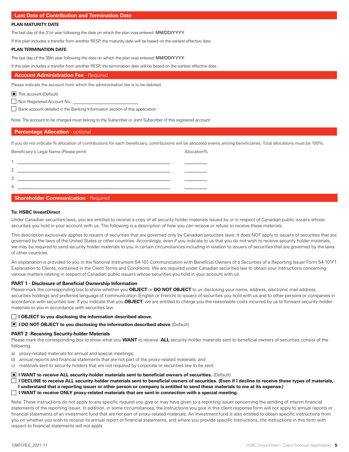#### **Last Date of Contribution and Termination Date**

#### **PLAN MATURITY DATE**

The last day of the 31st year following the date on which the plan was entered: MM/DD/YYYY

If this plan includes a transfer from another RESP, the maturity date will be based on the earliest effective date.

#### **PLAN TERMINATION DATE**

The last day of the 35th year following the date on which the plan was entered: MM/DD/YYYY

If this plan includes a transfer from another RESP, the termination date will be based on the earliest effective date.

#### **Account Administration Fee** - Required

Please indicate the account from which the administration fee is to be debited.

■ This account (Default)

Non-Registered Account No.:

Bank account detailed in the Banking Information section of this application

Note: The account to be charged must belong to the Subscriber or Joint Subscriber of this registered account.

#### **Percentage Allocation** - optional

If you do not indicate % allocation of contributions for each beneficiary, contributions will be allocated evenly among beneficiaries. Total allocations must be 100%.

Beneficiary's Legal Name (Please print) and the set of the set of the Allocation of Allocation of Allocation of the Allocation of the Allocation of Allocation of the Allocation of the Allocation of the Allocation of the Al

| r |  |
|---|--|
|   |  |

### **Shareholder Communication - Required**

#### **To: HSBC InvestDirect**

Under Canadian securities laws, you are entitled to receive a copy of all security holder materials issued by or in respect of Canadian public issuers whose securities you hold in your account with us. The following is a description of how you can receive or refuse to receive these materials.

This description exclusively applies to issuers of securities that are governed only by Canadian securities laws. It does NOT apply to issuers of securities that are governed by the laws of the United States or other countries. Accordingly, even if you indicate to us that you do not wish to receive security holder materials, we may be required to send security holder materials to you in certain circumstances including in relation to issuers of securities that are governed by the laws of other countries.

An explanation is provided to you in the National Instrument 54-101 Communication with Beneficial Owners of a Securities of a Reporting Issuer Form 54-101F1 Explanation to Clients, contained in the Client Terms and Conditions. We are required under Canadian securities law to obtain your instructions concerning various matters relating in respect of Canadian public issuers whose securities you hold in your account with us.

#### **PART 1 - Disclosure of Beneficial Ownership Information**

Please mark the corresponding box to show whether you **OBJECT** or **DO NOT OBJECT** to us disclosing your name, address, electronic mail address, securities holdings and preferred language of communication (English or French) to issuers of securities you hold with us and to other persons or companies in accordance with securities law. If you indicate that you **OBJECT**, we are entitled to charge you the reasonable costs incurred by us to forward security-holder materials to you in accordance with securities law.

#### **I OBJECT to you disclosing the information described above.**

■ I DO NOT OBJECT to you disclosing the information described above (Default)

#### **PART 2 -Receiving Security-holder Materials**

Please mark the corresponding box to show what you **WANT** to receive. **ALL** security-holder materials sent to beneficial owners of securities consist of the following:

- a) proxy-related materials for annual and special meetings;
- b) annual reports and financial statements that are not part of the proxy-related materials; and
- c) materials sent to security-holders that are not required by corporate or securities law to be sent.

#### ■ I WANT to receive ALL security-holder materials sent to beneficial owners of securities. (Default)

 **I DECLINE to receive ALL security-holder materials sent to beneficial owners of securities. (Even if I decline to receive these types of materials,** 

- **I understand that a reporting issuer or other person or company is entitled to send these materials to me at its expense.)**
- **I WANT to receive ONLY proxy-related materials that are sent in connection with a special meeting.**

Note: These instructions do not apply to any specific request you give or may have given to a reporting issuer concerning the sending of interim financial statements of the reporting issuer. In addition, in some circumstances, the instructions you give in this client response form will not apply to annual reports or financial statements of an investment fund that are not part of proxy-related materials. An investment fund is also entitled to obtain specific instructions from you on whether you wish to receive its annual report or financial statements, and where you provide specific instructions, the instructions in this form with respect to financial statements will not apply.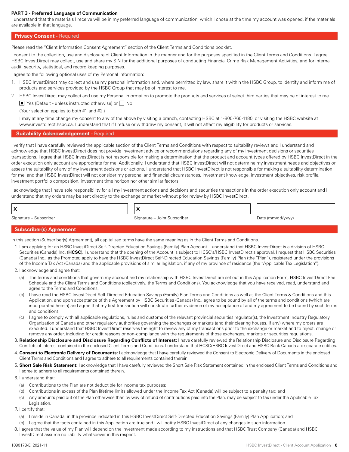#### **PART 3 - Preferred Language of Communication**

I understand that the materials I receive will be in my preferred language of communication, which I chose at the time my account was opened, if the materials are available in that language.

#### **Privacy Consent - Required**

Please read the "Client Information Consent Agreement" section of the Client Terms and Conditions booklet.

I consent to the collection, use and disclosure of Client Information in the manner and for the purposes specified in the Client Terms and Conditions. I agree HSBC InvestDirect may collect, use and share my SIN for the additional purposes of conducting Financial Crime Risk Management Activities, and for internal audit, security, statistical, and record keeping purposes.

I agree to the following optional uses of my Personal Information:

- 1. HSBC InvestDirect may collect and use my personal information and, where permitted by law, share it within the HSBC Group, to identify and inform me of products and services provided by the HSBC Group that may be of interest to me.
- 2. HSBC InvestDirect may collect and use my Personal information to promote the products and services of select third parties that may be of interest to me. ■ Yes (Default - unless instructed otherwise) or △ No

(Your selection applies to both #1 and #2.)

I may at any time change my consent to any of the above by visiting a branch, contacting HSBC at 1-800-760-1180, or visiting the HSBC website at www.investdirect.hsbc.ca. I understand that if I refuse or withdraw my consent, it will not affect my eligibility for products or services.

#### **Suitability Acknowledgement - Required**

I verify that I have carefully reviewed the applicable section of the Client Terms and Conditions with respect to suitability reviews and I understand and acknowledge that HSBC InvestDirect does not provide investment advice or recommendations regarding any of my investment decisions or securities transactions. I agree that HSBC InvestDirect is not responsible for making a determination that the product and account types offered by HSBC InvestDirect in the order execution only account are appropriate for me. Additionally, I understand that HSBC InvestDirect will not determine my investment needs and objectives or assess the suitability of any of my investment decisions or actions. I understand that HSBC InvestDirect is not responsible for making a suitability determination for me, and that HSBC InvestDirect will not consider my personal and financial circumstances, investment knowledge, investment objectives, risk profile, investment portfolio composition, investment time horizon nor other similar factors.

I acknowledge that I have sole responsibility for all my investment actions and decisions and securities transactions in the order execution only account and I understand that my orders may be sent directly to the exchange or market without prior review by HSBC InvestDirect.

| -                                | $\mathbf{v}$<br>-                |      |  |
|----------------------------------|----------------------------------|------|--|
| Signatura.<br>Isrrihar<br>◡<br>. | <b>- -</b><br>Signature<br>101m1 | Date |  |

#### **Subscriber(s) Agreement**

In this section (Subscriber(s) Agreement), all capitalized terms have the same meaning as in the Client Terms and Conditions.

- 1. I am applying for an HSBC InvestDirect Self-Directed Education Savings (Family) Plan Account. I understand that HSBC InvestDirect is a division of HSBC Securities (Canada) Inc. (**HCSC**). I understand that the opening of the Account is subject to HCSC's/HSBC InvestDirect's approval. I request that HSBC Securities (Canada) Inc., as the Promoter, apply to have the HSBC InvestDirect Self-Directed Education Savings (Family) Plan (the "Plan"), registered under the provisions of the Income Tax Act (Canada) and the applicable provisions of similar legislation, if any of my province of residence (the "Applicable Tax Legislation").
- 2. I acknowledge and agree that:
	- (a) The terms and conditions that govern my account and my relationship with HSBC InvestDirect are set out in this Application Form, HSBC InvestDirect Fee Schedule and the Client Terms and Conditions (collectively, the Terms and Conditions). You acknowledge that you have received, read, understand and agree to the Terms and Conditions.
	- (b) I have read the HSBC InvestDirect Self-Directed Education Savings (Family) Plan Terms and Conditions as well as the Client Terms & Conditions and this Application, and upon acceptance of this Agreement by HSBC Securities (Canada) Inc., agree to be bound by all of the terms and conditions (which are incorporated herein) and agree that my first transaction will constitute further evidence of my acceptance of and my agreement to be bound by such terms and conditions.
	- (c) I agree to comply with all applicable regulations, rules and customs of the relevant provincial securities regulator(s), the Investment Industry Regulatory Organization of Canada and other regulatory authorities governing the exchanges or markets (and their clearing houses, if any) where my orders are executed. I understand that HSBC InvestDirect reserves the right to review any of my transactions prior to the exchange or market and to reject, change or remove any order, including for credit reasons or non-compliance with the requirements of those exchanges, markets or securities regulations.
- 3. **Relationship Disclosure and Disclosure Regarding Conflicts of Interest:** I have carefully reviewed the Relationship Disclosure and Disclosure Regarding Conflicts of Interest contained in the enclosed Client Terms and Conditions. I understand that HCSC/HSBC InvestDirect and HSBC Bank Canada are separate entities.
- 4. **Consent to Electronic Delivery of Documents:** I acknowledge that I have carefully reviewed the Consent to Electronic Delivery of Documents in the enclosed Client Terms and Conditions and I agree to adhere to all requirements contained therein.
- 5. **Short Sale Risk Statement:** I acknowledge that I have carefully reviewed the Short Sale Risk Statement contained in the enclosed Client Terms and Conditions and I agree to adhere to all requirements contained therein.
- 6. I understand that:
	- (a) Contributions to the Plan are not deductible for income tax purposes;
	- (b) Contributions in excess of the Plan lifetime limits allowed under the Income Tax Act (Canada) will be subject to a penalty tax; and
	- (c) Any amounts paid out of the Plan otherwise than by way of refund of contributions paid into the Plan, may be subject to tax under the Applicable Tax Legislation.
- 7. I certify that:
	- (a) I reside in Canada, in the province indicated in this HSBC InvestDirect Self-Directed Education Savings (Family) Plan Application; and
- (b) I agree that the facts contained in this Application are true and I will notify HSBC InvestDirect of any changes in such information.
- 8. I agree that the value of my Plan will depend on the investment made according to my instructions and that HSBC Trust Company (Canada) and HSBC InvestDirect assume no liability whatsoever in this respect.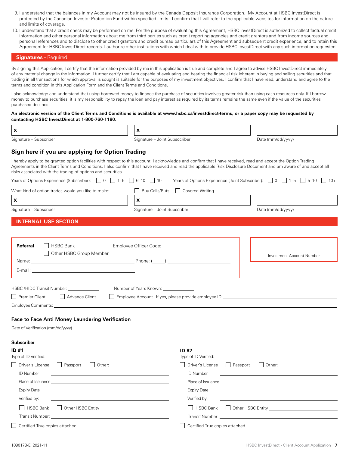- 9. I understand that the balances in my Account may not be insured by the Canada Deposit Insurance Corporation. My Account at HSBC InvestDirect is protected by the Canadian Investor Protection Fund within specified limits. I confirm that I will refer to the applicable websites for information on the nature and limits of coverage.
- 10. I understand that a credit check may be performed on me. For the purpose of evaluating this Agreement, HSBC InvestDirect is authorized to collect factual credit information and other personal information about me from third parties such as credit reporting agencies and credit grantors and from income sources and personal references and to disclose to other credit grantors and credit bureau particulars of this Agreement and subsequent credit experience, and to retain this Agreement for HSBC InvestDirect records. I authorize other institutions with which I deal with to provide HSBC InvestDirect with any such information requested.

#### **Signatures - Required**

By signing this Application, I certify that the information provided by me in this application is true and complete and I agree to advise HSBC InvestDirect immediately of any material change in the information. I further certify that I am capable of evaluating and bearing the financial risk inherent in buying and selling securities and that trading in all transactions for which approval is sought is suitable for the purposes of my investment objectives. I confirm that I have read, understand and agree to the terms and condition in this Application Form and the Client Terms and Conditions.

I also acknowledge and understand that using borrowed money to finance the purchase of securities involves greater risk than using cash resources only. If I borrow money to purchase securities, it is my responsibility to repay the loan and pay interest as required by its terms remains the same even if the value of the securities purchased declines.

#### **An electronic version of the Client Terms and Conditions is available at www.hsbc.ca/investdirect-terms, or a paper copy may be requested by contacting HSBC InvestDirect at 1-800-760-1180.**

| Date (mm/dd/yyyy)<br>I hereby apply to be granted option facilities with respect to this account. I acknowledge and confirm that I have received, read and accept the Option Trading<br>Agreements in the Client Terms and Conditions. I also confirm that I have received and read the applicable Risk Disclosure Document and am aware of and accept all<br>Years of Options Experience (Joint Subscriber): $\Box$ 0 $\Box$ 1-5 $\Box$ 5-10 $\Box$ 10+ |
|----------------------------------------------------------------------------------------------------------------------------------------------------------------------------------------------------------------------------------------------------------------------------------------------------------------------------------------------------------------------------------------------------------------------------------------------------------|
|                                                                                                                                                                                                                                                                                                                                                                                                                                                          |
|                                                                                                                                                                                                                                                                                                                                                                                                                                                          |
|                                                                                                                                                                                                                                                                                                                                                                                                                                                          |
|                                                                                                                                                                                                                                                                                                                                                                                                                                                          |
|                                                                                                                                                                                                                                                                                                                                                                                                                                                          |
|                                                                                                                                                                                                                                                                                                                                                                                                                                                          |
| Date (mm/dd/yyyy)                                                                                                                                                                                                                                                                                                                                                                                                                                        |
|                                                                                                                                                                                                                                                                                                                                                                                                                                                          |
|                                                                                                                                                                                                                                                                                                                                                                                                                                                          |
|                                                                                                                                                                                                                                                                                                                                                                                                                                                          |
| Investment Account Number                                                                                                                                                                                                                                                                                                                                                                                                                                |
|                                                                                                                                                                                                                                                                                                                                                                                                                                                          |
|                                                                                                                                                                                                                                                                                                                                                                                                                                                          |
|                                                                                                                                                                                                                                                                                                                                                                                                                                                          |

| HSBC /HIDC Transit Number: |                | Number of Years Known:                              |
|----------------------------|----------------|-----------------------------------------------------|
| Premier Client             | Advance Client | Employee Account If yes, please provide employee ID |
|                            |                |                                                     |

Employee Comments:

**Subscriber**

#### **Face to Face Anti Money Laundering Verification**

Date of Verification (mm/dd/yyyy)

| JUNJJU INGI                                                                                                                            |                                                                                                                                      |
|----------------------------------------------------------------------------------------------------------------------------------------|--------------------------------------------------------------------------------------------------------------------------------------|
| ID#1<br>Type of ID Verified:                                                                                                           | ID #2<br>Type of ID Verified:                                                                                                        |
| Driver's License     Passport<br>$\Box$ Other:                                                                                         | Driver's License<br>  Passport                                                                                                       |
| ID Number<br><u> 1980 - Jan Samuel Barbara, martin a shekara ta 1980 - An tsara tsara tsara tsara tsara tsara tsara tsara tsa</u>      | ID Number<br><u> 1980 - Jan Samuel Barbara, martin a shekara 1980 - An tsara 1980 - An tsara 1980 - An tsara 1980 - An tsara 1</u>   |
|                                                                                                                                        |                                                                                                                                      |
| <b>Expiry Date</b><br>and the control of the control of the control of the control of the control of the control of the control of the | <b>Expiry Date</b>                                                                                                                   |
| Verified by:<br><u> 1989 - John Harry Harry Harry Harry Harry Harry Harry Harry Harry Harry Harry Harry Harry Harry Harry Harry</u>    | Verified by:<br><u> 1980 - Jan Samuel Barbara, martin di sebagai personal di sebagai personal di sebagai personal di sebagai per</u> |
|                                                                                                                                        | HSBC Bank                                                                                                                            |
|                                                                                                                                        | Transit Number: Transit Number: Transit Number: Transit Number: Transit Number: Transit Number: Transit Number                       |
| Certified True copies attached                                                                                                         | Certified True copies attached                                                                                                       |